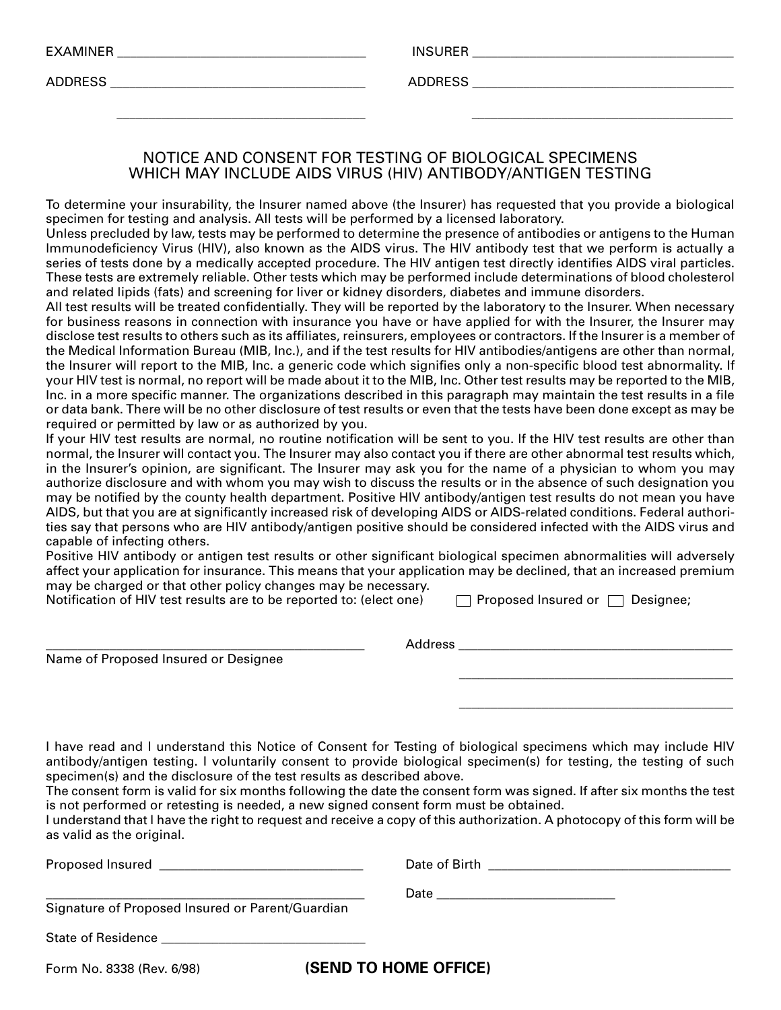| <b>EXAMINER</b> |  |  |  |
|-----------------|--|--|--|
|-----------------|--|--|--|

EXAMINER \_\_\_\_\_\_\_\_\_\_\_\_\_\_\_\_\_\_\_\_\_\_\_\_\_\_\_\_\_\_\_\_\_\_\_\_\_\_\_ INSURER \_\_\_\_\_\_\_\_\_\_\_\_\_\_\_\_\_\_\_\_\_\_\_\_\_\_\_\_\_\_\_\_\_\_\_\_\_\_\_\_\_

ADDRESS \_\_\_\_\_\_\_\_\_\_\_\_\_\_\_\_\_\_\_\_\_\_\_\_\_\_\_\_\_\_\_\_\_\_\_\_\_\_\_\_ ADDRESS \_\_\_\_\_\_\_\_\_\_\_\_\_\_\_\_\_\_\_\_\_\_\_\_\_\_\_\_\_\_\_\_\_\_\_\_\_\_\_\_\_

## NOTICE AND CONSENT FOR TESTING OF BIOLOGICAL SPECIMENS WHICH MAY INCLUDE AIDS VIRUS (HlV) ANTIBODY/ANTIGEN TESTING

\_\_\_\_\_\_\_\_\_\_\_\_\_\_\_\_\_\_\_\_\_\_\_\_\_\_\_\_\_\_\_\_\_\_\_\_\_\_\_ \_\_\_\_\_\_\_\_\_\_\_\_\_\_\_\_\_\_\_\_\_\_\_\_\_\_\_\_\_\_\_\_\_\_\_\_\_\_\_\_\_

To determine your insurability, the Insurer named above (the Insurer) has requested that you provide a biological specimen for testing and analysis. All tests will be performed by a licensed laboratory.

Unless precluded by law, tests may be performed to determine the presence of antibodies or antigens to the Human lmmunodeficiency Virus (HlV), also known as the AIDS virus. The HIV antibody test that we perform is actually a series of tests done by a medically accepted procedure. The HIV antigen test directly identifies AIDS viral particles. These tests are extremely reliable. Other tests which may be performed include determinations of blood cholesterol and related lipids (fats) and screening for liver or kidney disorders, diabetes and immune disorders.

All test results will be treated confidentially. They will be reported by the laboratory to the Insurer. When necessary for business reasons in connection with insurance you have or have applied for with the Insurer, the Insurer may disclose test results to others such as its affiliates, reinsurers, employees or contractors. If the Insurer is a member of the Medical Information Bureau (MlB, Inc.), and if the test results for HlV antibodies/antigens are other than normal, the Insurer will report to the MlB, Inc. a generic code which signifies only a non-specific blood test abnormality. If your HIV test is normal, no report will be made about it to the MIB, Inc. Other test results may be reported to the MlB, Inc. in a more specific manner. The organizations described in this paragraph may maintain the test results in a file or data bank. There will be no other disclosure of test results or even that the tests have been done except as may be required or permitted by law or as authorized by you.

If your HlV test results are normal, no routine notification will be sent to you. If the HIV test results are other than normal, the Insurer will contact you. The Insurer may also contact you if there are other abnormal test results which, in the Insurer's opinion, are significant. The Insurer may ask you for the name of a physician to whom you may authorize disclosure and with whom you may wish to discuss the results or in the absence of such designation you may be notified by the county health department. Positive HlV antibody/antigen test results do not mean you have AIDS, but that you are at significantly increased risk of developing AIDS or AIDS-related conditions. Federal authorities say that persons who are HlV antibody/antigen positive should be considered infected with the AIDS virus and capable of infecting others.

Positive HlV antibody or antigen test results or other significant biological specimen abnormalities will adversely affect your application for insurance. This means that your application may be declined, that an increased premium may be charged or that other policy changes may be necessary.

Notification of HIV test results are to be reported to: (elect one)  $\Box$  Proposed Insured or  $\Box$  Designee;

Name of Proposed Insured or Designee

\_\_\_\_\_\_\_\_\_\_\_\_\_\_\_\_\_\_\_\_\_\_\_\_\_\_\_\_\_\_\_\_\_\_\_\_\_\_\_\_\_\_\_

\_\_\_\_\_\_\_\_\_\_\_\_\_\_\_\_\_\_\_\_\_\_\_\_\_\_\_\_\_\_\_\_\_\_\_\_\_\_\_\_\_\_\_

\_\_\_\_\_\_\_\_\_\_\_\_\_\_\_\_\_\_\_\_\_\_\_\_\_\_\_\_\_\_\_\_\_\_\_\_\_\_\_\_\_\_\_\_\_\_\_\_\_\_ Address \_\_\_\_\_\_\_\_\_\_\_\_\_\_\_\_\_\_\_\_\_\_\_\_\_\_\_\_\_\_\_\_\_\_\_\_\_\_\_\_\_\_\_

\_\_\_\_\_\_\_\_\_\_\_\_\_\_\_\_\_\_\_\_\_\_\_\_\_\_\_\_\_\_\_\_\_\_\_\_\_\_\_\_\_\_\_\_\_\_\_\_\_\_ Date \_\_\_\_\_\_\_\_\_\_\_\_\_\_\_\_\_\_\_\_\_\_\_\_\_\_\_\_

I have read and l understand this Notice of Consent for Testing of biological specimens which may include HIV antibody/antigen testing. I voluntarily consent to provide biological specimen(s) for testing, the testing of such specimen(s) and the disclosure of the test results as described above.

The consent form is valid for six months following the date the consent form was signed. If after six months the test is not performed or retesting is needed, a new signed consent form must be obtained.

I understand that l have the right to request and receive a copy of this authorization. A photocopy of this form will be as valid as the original.

Proposed Insured The Communication of the Communication of Birth  $\Box$  Date of Birth  $\Box$ 

Signature of Proposed Insured or Parent/Guardian

State of Residence

Form No. 8338 (Rev. 6/98) **(SEND TO HOME OFFICE)**